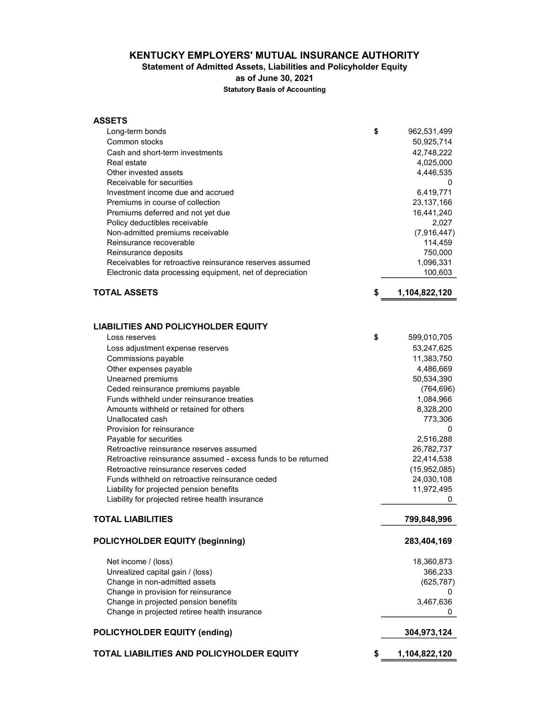#### KENTUCKY EMPLOYERS' MUTUAL INSURANCE AUTHORITY

#### Statement of Admitted Assets, Liabilities and Policyholder Equity

as of June 30, 2021

Statutory Basis of Accounting

| <b>ASSETS</b>                                                 |                     |
|---------------------------------------------------------------|---------------------|
| Long-term bonds                                               | \$<br>962,531,499   |
| Common stocks                                                 | 50,925,714          |
| Cash and short-term investments                               | 42,748,222          |
| Real estate                                                   | 4,025,000           |
| Other invested assets                                         | 4,446,535           |
| Receivable for securities                                     | 0                   |
| Investment income due and accrued                             | 6,419,771           |
| Premiums in course of collection                              | 23,137,166          |
| Premiums deferred and not yet due                             | 16,441,240          |
| Policy deductibles receivable                                 | 2,027               |
| Non-admitted premiums receivable                              | (7,916,447)         |
| Reinsurance recoverable                                       | 114,459             |
| Reinsurance deposits                                          | 750,000             |
| Receivables for retroactive reinsurance reserves assumed      | 1,096,331           |
| Electronic data processing equipment, net of depreciation     | 100,603             |
| <b>TOTAL ASSETS</b>                                           | \$<br>1,104,822,120 |
|                                                               |                     |
| <b>LIABILITIES AND POLICYHOLDER EQUITY</b>                    |                     |
| Loss reserves                                                 | \$<br>599,010,705   |
| Loss adjustment expense reserves                              | 53,247,625          |
| Commissions payable                                           | 11,383,750          |
| Other expenses payable                                        | 4,486,669           |
| Unearned premiums                                             | 50,534,390          |
| Ceded reinsurance premiums payable                            | (764, 696)          |
| Funds withheld under reinsurance treaties                     | 1,084,966           |
| Amounts withheld or retained for others                       | 8,328,200           |
| Unallocated cash                                              | 773,306             |
| Provision for reinsurance                                     | 0                   |
| Payable for securities                                        | 2,516,288           |
| Retroactive reinsurance reserves assumed                      | 26,782,737          |
| Retroactive reinsurance assumed - excess funds to be returned | 22,414,538          |
| Retroactive reinsurance reserves ceded                        | (15,952,085)        |
| Funds withheld on retroactive reinsurance ceded               | 24,030,108          |
| Liability for projected pension benefits                      | 11,972,495          |
| Liability for projected retiree health insurance              | 0                   |
| TOTAL LIABILITIES                                             | 799,848,996         |
| <b>POLICYHOLDER EQUITY (beginning)</b>                        | 283,404,169         |
| Net income / (loss)                                           | 18,360,873          |
| Unrealized capital gain / (loss)                              | 366,233             |
| Change in non-admitted assets                                 | (625, 787)          |
| Change in provision for reinsurance                           | 0                   |
| Change in projected pension benefits                          | 3,467,636           |
| Change in projected retiree health insurance                  | 0                   |
| <b>POLICYHOLDER EQUITY (ending)</b>                           | 304,973,124         |
| TOTAL LIABILITIES AND POLICYHOLDER EQUITY                     | \$<br>1,104,822,120 |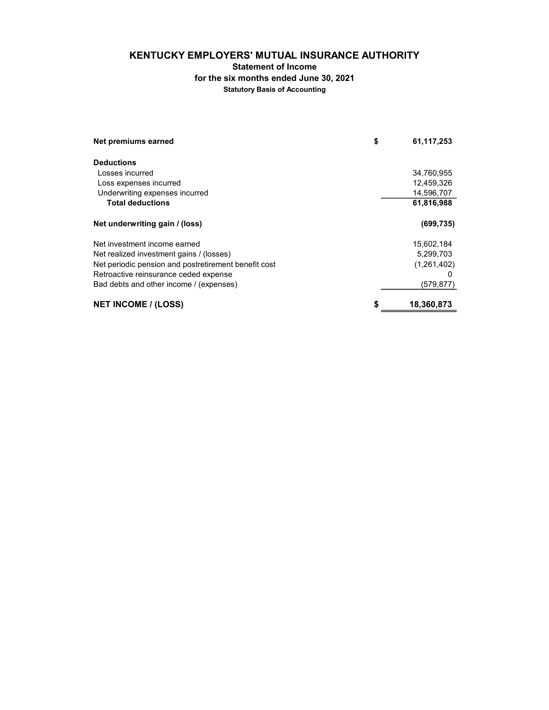# KENTUCKY EMPLOYERS' MUTUAL INSURANCE AUTHORITY

Statement of Income

for the six months ended June 30, 2021

Statutory Basis of Accounting

| Net premiums earned                                  | \$<br>61,117,253 |
|------------------------------------------------------|------------------|
| <b>Deductions</b>                                    |                  |
| Losses incurred                                      | 34,760,955       |
| Loss expenses incurred                               | 12,459,326       |
| Underwriting expenses incurred                       | 14,596,707       |
| <b>Total deductions</b>                              | 61,816,988       |
| Net underwriting gain / (loss)                       | (699, 735)       |
| Net investment income earned                         | 15,602,184       |
| Net realized investment gains / (losses)             | 5,299,703        |
| Net periodic pension and postretirement benefit cost | (1,261,402)      |
| Retroactive reinsurance ceded expense                |                  |
| Bad debts and other income / (expenses)              | (579, 877)       |
| <b>NET INCOME / (LOSS)</b>                           | \$<br>18,360,873 |